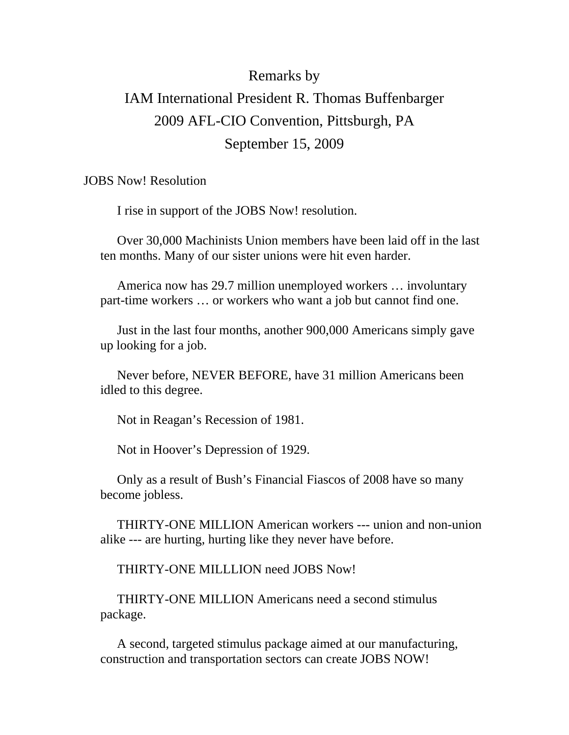# Remarks by IAM International President R. Thomas Buffenbarger 2009 AFL-CIO Convention, Pittsburgh, PA September 15, 2009

JOBS Now! Resolution

I rise in support of the JOBS Now! resolution.

Over 30,000 Machinists Union members have been laid off in the last ten months. Many of our sister unions were hit even harder.

America now has 29.7 million unemployed workers … involuntary part-time workers … or workers who want a job but cannot find one.

Just in the last four months, another 900,000 Americans simply gave up looking for a job.

Never before, NEVER BEFORE, have 31 million Americans been idled to this degree.

Not in Reagan's Recession of 1981.

Not in Hoover's Depression of 1929.

Only as a result of Bush's Financial Fiascos of 2008 have so many become jobless.

THIRTY-ONE MILLION American workers --- union and non-union alike --- are hurting, hurting like they never have before.

THIRTY-ONE MILLLION need JOBS Now!

THIRTY-ONE MILLION Americans need a second stimulus package.

A second, targeted stimulus package aimed at our manufacturing, construction and transportation sectors can create JOBS NOW!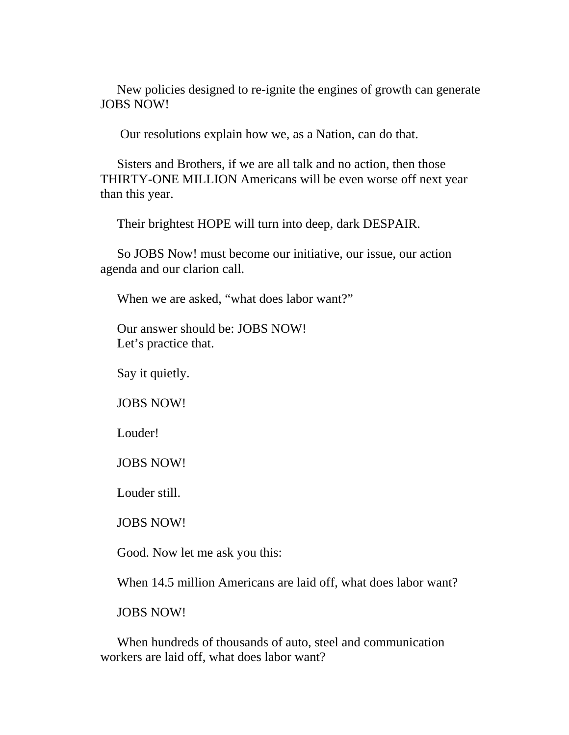New policies designed to re-ignite the engines of growth can generate JOBS NOW!

Our resolutions explain how we, as a Nation, can do that.

Sisters and Brothers, if we are all talk and no action, then those THIRTY-ONE MILLION Americans will be even worse off next year than this year.

Their brightest HOPE will turn into deep, dark DESPAIR.

So JOBS Now! must become our initiative, our issue, our action agenda and our clarion call.

When we are asked, "what does labor want?"

Our answer should be: JOBS NOW! Let's practice that.

Say it quietly.

JOBS NOW!

Louder!

JOBS NOW!

Louder still.

JOBS NOW!

Good. Now let me ask you this:

When 14.5 million Americans are laid off, what does labor want?

JOBS NOW!

When hundreds of thousands of auto, steel and communication workers are laid off, what does labor want?